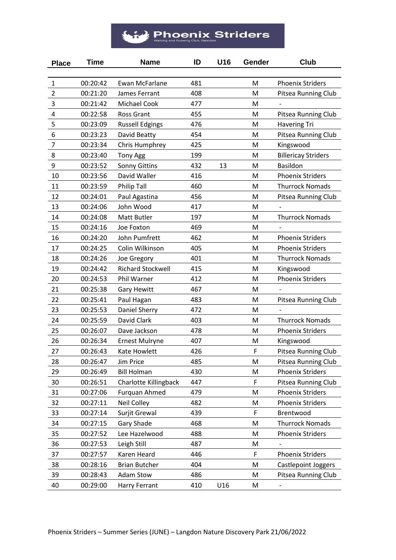## $\mathcal{H}$  Phoenix Striders

| <b>Place</b>   | <b>Time</b> | <b>Name</b>                  | ID  | U16 | Gender | Club                       |
|----------------|-------------|------------------------------|-----|-----|--------|----------------------------|
|                |             |                              |     |     |        |                            |
| $\mathbf{1}$   | 00:20:42    | Ewan McFarlane               | 481 |     | M      | <b>Phoenix Striders</b>    |
| $\overline{2}$ | 00:21:20    | James Ferrant                | 408 |     | M      | Pitsea Running Club        |
| 3              | 00:21:42    | Michael Cook                 | 477 |     | M      |                            |
| 4              | 00:22:58    | <b>Ross Grant</b>            | 455 |     | M      | Pitsea Running Club        |
| 5              | 00:23:09    | <b>Russell Edgings</b>       | 476 |     | M      | <b>Havering Tri</b>        |
| 6              | 00:23:23    | David Beatty                 | 454 |     | M      | Pitsea Running Club        |
| $\overline{7}$ | 00:23:34    | Chris Humphrey               | 425 |     | M      | Kingswood                  |
| 8              | 00:23:40    | <b>Tony Agg</b>              | 199 |     | M      | <b>Billericay Striders</b> |
| 9              | 00:23:52    | <b>Sonny Gittins</b>         | 432 | 13  | M      | <b>Basildon</b>            |
| 10             | 00:23:56    | David Waller                 | 416 |     | M      | <b>Phoenix Striders</b>    |
| 11             | 00:23:59    | <b>Philip Tall</b>           | 460 |     | M      | <b>Thurrock Nomads</b>     |
| 12             | 00:24:01    | Paul Agastina                | 456 |     | M      | Pitsea Running Club        |
| 13             | 00:24:06    | John Wood                    | 417 |     | M      |                            |
| 14             | 00:24:08    | Matt Butler                  | 197 |     | M      | <b>Thurrock Nomads</b>     |
| 15             | 00:24:16    | Joe Foxton                   | 469 |     | M      |                            |
| 16             | 00:24:20    | John Pumfrett                | 462 |     | M      | <b>Phoenix Striders</b>    |
| 17             | 00:24:25    | Colin Wilkinson              | 405 |     | M      | <b>Phoenix Striders</b>    |
| 18             | 00:24:26    | Joe Gregory                  | 401 |     | M      | <b>Thurrock Nomads</b>     |
| 19             | 00:24:42    | <b>Richard Stockwell</b>     | 415 |     | M      | Kingswood                  |
| 20             | 00:24:53    | Phil Warner                  | 412 |     | M      | <b>Phoenix Striders</b>    |
| 21             | 00:25:38    | <b>Gary Hewitt</b>           | 467 |     | M      |                            |
| 22             | 00:25:41    | Paul Hagan                   | 483 |     | M      | Pitsea Running Club        |
| 23             | 00:25:53    | Daniel Sherry                | 472 |     | M      |                            |
| 24             | 00:25:59    | David Clark                  | 403 |     | M      | <b>Thurrock Nomads</b>     |
| 25             | 00:26:07    | Dave Jackson                 | 478 |     | M      | <b>Phoenix Striders</b>    |
| 26             | 00:26:34    | <b>Ernest Mulryne</b>        | 407 |     | M      | Kingswood                  |
| 27             | 00:26:43    | Kate Howlett                 | 426 |     | F      | Pitsea Running Club        |
| 28             | 00:26:47    | Jim Price                    | 485 |     | M      | Pitsea Running Club        |
| 29             | 00:26:49    | <b>Bill Holman</b>           | 430 |     | M      | <b>Phoenix Striders</b>    |
| 30             | 00:26:51    | <b>Charlotte Killingback</b> | 447 |     | F      | Pitsea Running Club        |
| 31             | 00:27:06    | <b>Furquan Ahmed</b>         | 479 |     | M      | <b>Phoenix Striders</b>    |
| 32             | 00:27:11    | Neil Colley                  | 482 |     | M      | <b>Phoenix Striders</b>    |
| 33             | 00:27:14    | Surjit Grewal                | 439 |     | F      | Brentwood                  |
| 34             | 00:27:15    | Gary Shade                   | 468 |     | M      | <b>Thurrock Nomads</b>     |
| 35             | 00:27:52    | Lee Hazelwood                | 488 |     | M      | <b>Phoenix Striders</b>    |
| 36             | 00:27:53    | Leigh Still                  | 487 |     | M      |                            |
| 37             | 00:27:57    | Karen Heard                  | 446 |     | F      | <b>Phoenix Striders</b>    |
| 38             | 00:28:16    | <b>Brian Butcher</b>         | 404 |     | M      | Castlepoint Joggers        |
| 39             | 00:28:43    | <b>Adam Stow</b>             | 486 |     | M      | Pitsea Running Club        |
| 40             | 00:29:00    | Harry Ferrant                | 410 | U16 | M      | $\overline{\phantom{a}}$   |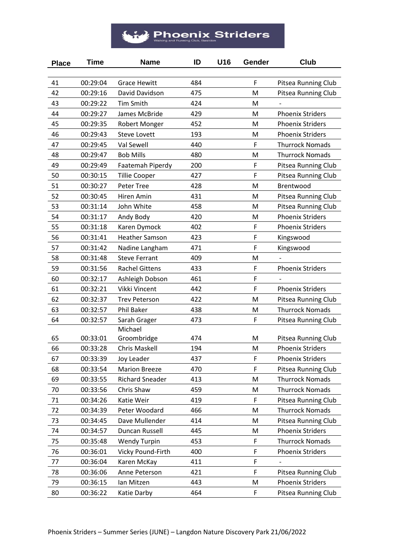## $\mathcal{H}$  Phoenix Striders

| <b>Place</b> | <b>Time</b> | <b>Name</b>            | ID  | U16 | Gender | Club                    |
|--------------|-------------|------------------------|-----|-----|--------|-------------------------|
|              |             |                        |     |     |        |                         |
| 41           | 00:29:04    | <b>Grace Hewitt</b>    | 484 |     | F      | Pitsea Running Club     |
| 42           | 00:29:16    | David Davidson         | 475 |     | M      | Pitsea Running Club     |
| 43           | 00:29:22    | <b>Tim Smith</b>       | 424 |     | M      |                         |
| 44           | 00:29:27    | James McBride          | 429 |     | M      | <b>Phoenix Striders</b> |
| 45           | 00:29:35    | Robert Monger          | 452 |     | M      | <b>Phoenix Striders</b> |
| 46           | 00:29:43    | <b>Steve Lovett</b>    | 193 |     | M      | <b>Phoenix Striders</b> |
| 47           | 00:29:45    | Val Sewell             | 440 |     | F      | <b>Thurrock Nomads</b>  |
| 48           | 00:29:47    | <b>Bob Mills</b>       | 480 |     | M      | <b>Thurrock Nomads</b>  |
| 49           | 00:29:49    | Faatemah Piperdy       | 200 |     | F      | Pitsea Running Club     |
| 50           | 00:30:15    | <b>Tillie Cooper</b>   | 427 |     | F      | Pitsea Running Club     |
| 51           | 00:30:27    | Peter Tree             | 428 |     | M      | Brentwood               |
| 52           | 00:30:45    | Hiren Amin             | 431 |     | M      | Pitsea Running Club     |
| 53           | 00:31:14    | John White             | 458 |     | M      | Pitsea Running Club     |
| 54           | 00:31:17    | Andy Body              | 420 |     | M      | <b>Phoenix Striders</b> |
| 55           | 00:31:18    | Karen Dymock           | 402 |     | F      | <b>Phoenix Striders</b> |
| 56           | 00:31:41    | <b>Heather Samson</b>  | 423 |     | F      | Kingswood               |
| 57           | 00:31:42    | Nadine Langham         | 471 |     | F      | Kingswood               |
| 58           | 00:31:48    | <b>Steve Ferrant</b>   | 409 |     | M      |                         |
| 59           | 00:31:56    | <b>Rachel Gittens</b>  | 433 |     | F      | <b>Phoenix Striders</b> |
| 60           | 00:32:17    | Ashleigh Dobson        | 461 |     | F      |                         |
| 61           | 00:32:21    | Vikki Vincent          | 442 |     | F      | <b>Phoenix Striders</b> |
| 62           | 00:32:37    | <b>Trev Peterson</b>   | 422 |     | M      | Pitsea Running Club     |
| 63           | 00:32:57    | <b>Phil Baker</b>      | 438 |     | M      | <b>Thurrock Nomads</b>  |
| 64           | 00:32:57    | Sarah Grager           | 473 |     | F      | Pitsea Running Club     |
|              |             | Michael                |     |     |        |                         |
| 65           | 00:33:01    | Groombridge            | 474 |     | M      | Pitsea Running Club     |
| 66           | 00:33:28    | Chris Maskell          | 194 |     | M      | <b>Phoenix Striders</b> |
| 67           | 00:33:39    | <b>Joy Leader</b>      | 437 |     | F      | <b>Phoenix Striders</b> |
| 68           | 00:33:54    | <b>Marion Breeze</b>   | 470 |     | F      | Pitsea Running Club     |
| 69           | 00:33:55    | <b>Richard Sneader</b> | 413 |     | M      | <b>Thurrock Nomads</b>  |
| 70           | 00:33:56    | Chris Shaw             | 459 |     | M      | <b>Thurrock Nomads</b>  |
| 71           | 00:34:26    | Katie Weir             | 419 |     | F      | Pitsea Running Club     |
| 72           | 00:34:39    | Peter Woodard          | 466 |     | M      | <b>Thurrock Nomads</b>  |
| 73           | 00:34:45    | Dave Mullender         | 414 |     | M      | Pitsea Running Club     |
| 74           | 00:34:57    | Duncan Russell         | 445 |     | M      | <b>Phoenix Striders</b> |
| 75           | 00:35:48    | <b>Wendy Turpin</b>    | 453 |     | F      | <b>Thurrock Nomads</b>  |
| 76           | 00:36:01    | Vicky Pound-Firth      | 400 |     | F      | <b>Phoenix Striders</b> |
| 77           | 00:36:04    | Karen McKay            | 411 |     | F      |                         |
| 78           | 00:36:06    | Anne Peterson          | 421 |     | F      | Pitsea Running Club     |
| 79           | 00:36:15    | Ian Mitzen             | 443 |     | M      | <b>Phoenix Striders</b> |
| 80           | 00:36:22    | Katie Darby            | 464 |     | F      | Pitsea Running Club     |